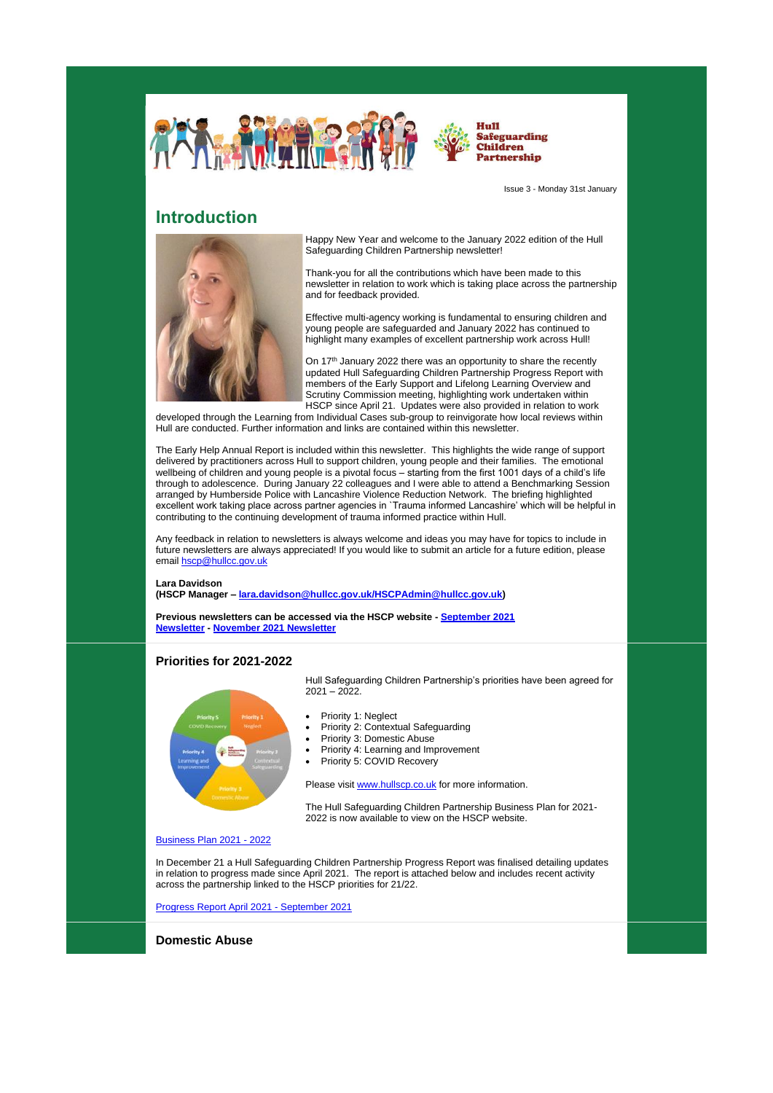



Issue 3 - Monday 31st January

## **Introduction**



Happy New Year and welcome to the January 2022 edition of the Hull Safeguarding Children Partnership newsletter!

Thank-you for all the contributions which have been made to this newsletter in relation to work which is taking place across the partnership and for feedback provided.

Effective multi-agency working is fundamental to ensuring children and young people are safeguarded and January 2022 has continued to highlight many examples of excellent partnership work across Hull!

On 17<sup>th</sup> January 2022 there was an opportunity to share the recently updated Hull Safeguarding Children Partnership Progress Report with members of the Early Support and Lifelong Learning Overview and Scrutiny Commission meeting, highlighting work undertaken within HSCP since April 21. Updates were also provided in relation to work

developed through the Learning from Individual Cases sub-group to reinvigorate how local reviews within Hull are conducted. Further information and links are contained within this newsletter.

The Early Help Annual Report is included within this newsletter. This highlights the wide range of support delivered by practitioners across Hull to support children, young people and their families. The emotional wellbeing of children and young people is a pivotal focus – starting from the first 1001 days of a child's life through to adolescence. During January 22 colleagues and I were able to attend a Benchmarking Session arranged by Humberside Police with Lancashire Violence Reduction Network. The briefing highlighted excellent work taking place across partner agencies in `Trauma informed Lancashire' which will be helpful in contributing to the continuing development of trauma informed practice within Hull.

Any feedback in relation to newsletters is always welcome and ideas you may have for topics to include in future newsletters are always appreciated! If you would like to submit an article for a future edition, please email [hscp@hullcc.gov.uk](mailto:hscp@hullcc.gov.uk)

#### **Lara Davidson**

**(HSCP Manager – [lara.davidson@hullcc.gov.uk/HSCPAdmin@hullcc.gov.uk\)](mailto:lara.davidson@hullcc.gov.uk/HSCPAdmin@hullcc.gov.uk)** 

**Previous newsletters can be accessed via the HSCP website - [September 2021](https://www.hullscp.co.uk/wp-content/uploads/2021/10/HSCP-Newsletter-September-2021.pdf)  [Newsletter](https://www.hullscp.co.uk/wp-content/uploads/2021/10/HSCP-Newsletter-September-2021.pdf) - [November 2021 Newsletter](https://www.hullscp.co.uk/wp-content/uploads/2021/11/HSCP-November-2021-Newsletter.pdf)**

### **Priorities for 2021-2022**



Hull Safeguarding Children Partnership's priorities have been agreed for 2021 – 2022.

- Priority 1: Neglect
- Priority 2: Contextual Safeguarding
- Priority 3: Domestic Abuse
- Priority 4: Learning and Improvement
- Priority 5: COVID Recovery

Please visit [www.hullscp.co.uk](http://www.hullscp.co.uk/) for more information.

The Hull Safeguarding Children Partnership Business Plan for 2021- 2022 is now available to view on the HSCP website.

[Business Plan 2021 -](https://www.hullscp.co.uk/wp-content/uploads/2022/01/HSCPBusinessPlan-2021-2022-final.pdf) 2022

In December 21 a Hull Safeguarding Children Partnership Progress Report was finalised detailing updates in relation to progress made since April 2021. The report is attached below and includes recent activity across the partnership linked to the HSCP priorities for 21/22.

[Progress Report April 2021 -](https://www.hullscp.co.uk/wp-content/uploads/2022/01/HSCP-progress-report-update-final-April-2021-September-2021.pdf) September 2021

**Domestic Abuse**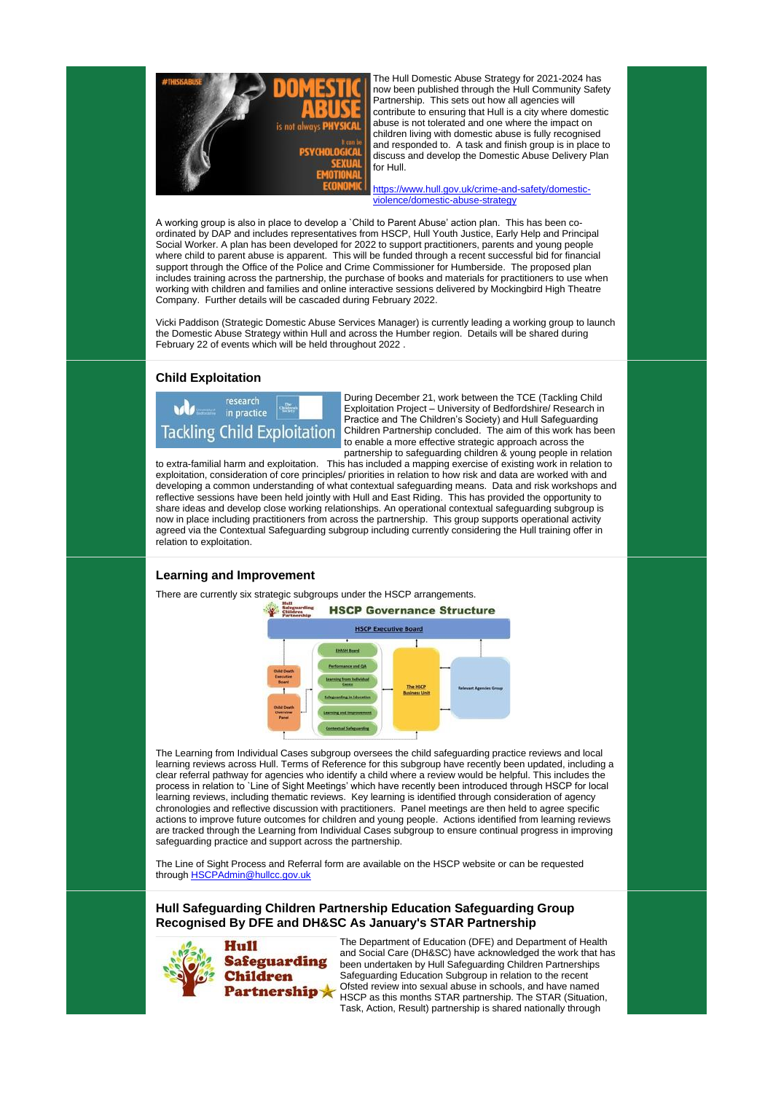

The Hull Domestic Abuse Strategy for 2021-2024 has now been published through the Hull Community Safety Partnership. This sets out how all agencies will contribute to ensuring that Hull is a city where domestic abuse is not tolerated and one where the impact on children living with domestic abuse is fully recognised and responded to. A task and finish group is in place to discuss and develop the Domestic Abuse Delivery Plan for Hull.

[https://www.hull.gov.uk/crime-and-safety/domestic](https://www.hull.gov.uk/crime-and-safety/domestic-violence/domestic-abuse-strategy)[violence/domestic-abuse-strategy](https://www.hull.gov.uk/crime-and-safety/domestic-violence/domestic-abuse-strategy)

A working group is also in place to develop a `Child to Parent Abuse' action plan. This has been coordinated by DAP and includes representatives from HSCP, Hull Youth Justice, Early Help and Principal Social Worker. A plan has been developed for 2022 to support practitioners, parents and young people where child to parent abuse is apparent. This will be funded through a recent successful bid for financial support through the Office of the Police and Crime Commissioner for Humberside. The proposed plan includes training across the partnership, the purchase of books and materials for practitioners to use when working with children and families and online interactive sessions delivered by Mockingbird High Theatre Company. Further details will be cascaded during February 2022.

Vicki Paddison (Strategic Domestic Abuse Services Manager) is currently leading a working group to launch the Domestic Abuse Strategy within Hull and across the Humber region. Details will be shared during February 22 of events which will be held throughout 2022 .

## **Child Exploitation**



During December 21, work between the TCE (Tackling Child Exploitation Project – University of Bedfordshire/ Research in Practice and The Children's Society) and Hull Safeguarding Children Partnership concluded. The aim of this work has been to enable a more effective strategic approach across the partnership to safeguarding children & young people in relation

The Line of Sight Process and Referral form are available on the HSCP website or can be requested through **[HSCPAdmin@hullcc.gov.uk](mailto:HSCPAdmin@hullcc.gov.uk)** 

to extra-familial harm and exploitation. This has included a mapping exercise of existing work in relation to exploitation, consideration of core principles/ priorities in relation to how risk and data are worked with and developing a common understanding of what contextual safeguarding means. Data and risk workshops and reflective sessions have been held jointly with Hull and East Riding. This has provided the opportunity to share ideas and develop close working relationships. An operational contextual safeguarding subgroup is now in place including practitioners from across the partnership. This group supports operational activity agreed via the Contextual Safeguarding subgroup including currently considering the Hull training offer in relation to exploitation.

## **Learning and Improvement**

There are currently six strategic subgroups under the HSCP arrangements.



The Learning from Individual Cases subgroup oversees the child safeguarding practice reviews and local learning reviews across Hull. Terms of Reference for this subgroup have recently been updated, including a clear referral pathway for agencies who identify a child where a review would be helpful. This includes the process in relation to `Line of Sight Meetings' which have recently been introduced through HSCP for local learning reviews, including thematic reviews. Key learning is identified through consideration of agency chronologies and reflective discussion with practitioners. Panel meetings are then held to agree specific actions to improve future outcomes for children and young people. Actions identified from learning reviews

are tracked through the Learning from Individual Cases subgroup to ensure continual progress in improving safeguarding practice and support across the partnership.

## **Hull Safeguarding Children Partnership Education Safeguarding Group Recognised By DFE and DH&SC As January's STAR Partnership**



The Department of Education (DFE) and Department of Health and Social Care (DH&SC) have acknowledged the work that has been undertaken by Hull Safeguarding Children Partnerships Safeguarding Education Subgroup in relation to the recent Ofsted review into sexual abuse in schools, and have named HSCP as this months STAR partnership. The STAR (Situation, Task, Action, Result) partnership is shared nationally through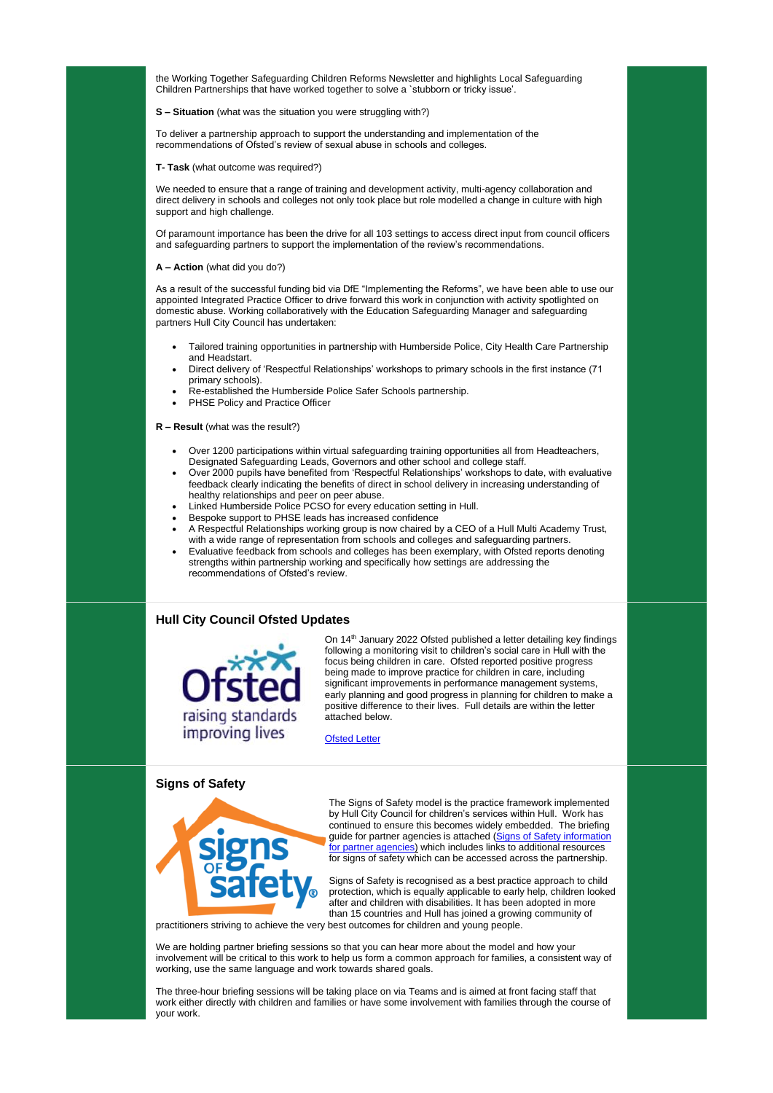the Working Together Safeguarding Children Reforms Newsletter and highlights Local Safeguarding Children Partnerships that have worked together to solve a `stubborn or tricky issue'.

**S – Situation** (what was the situation you were struggling with?)

To deliver a partnership approach to support the understanding and implementation of the recommendations of Ofsted's review of sexual abuse in schools and colleges.

**T- Task** (what outcome was required?)

We needed to ensure that a range of training and development activity, multi-agency collaboration and direct delivery in schools and colleges not only took place but role modelled a change in culture with high support and high challenge.

- Tailored training opportunities in partnership with Humberside Police, City Health Care Partnership and Headstart.
- Direct delivery of 'Respectful Relationships' workshops to primary schools in the first instance (71 primary schools).
- Re-established the Humberside Police Safer Schools partnership.
- PHSE Policy and Practice Officer

Of paramount importance has been the drive for all 103 settings to access direct input from council officers and safeguarding partners to support the implementation of the review's recommendations.

**A – Action** (what did you do?)

As a result of the successful funding bid via DfE "Implementing the Reforms", we have been able to use our appointed Integrated Practice Officer to drive forward this work in conjunction with activity spotlighted on domestic abuse. Working collaboratively with the Education Safeguarding Manager and safeguarding partners Hull City Council has undertaken:

> On 14<sup>th</sup> January 2022 Ofsted published a letter detailing key findings following a monitoring visit to children's social care in Hull with the focus being children in care. Ofsted reported positive progress being made to improve practice for children in care, including significant improvements in performance management systems, early planning and good progress in planning for children to make a positive difference to their lives. Full details are within the letter attached below.

**R – Result** (what was the result?)

- Over 1200 participations within virtual safeguarding training opportunities all from Headteachers, Designated Safeguarding Leads, Governors and other school and college staff.
- Over 2000 pupils have benefited from 'Respectful Relationships' workshops to date, with evaluative feedback clearly indicating the benefits of direct in school delivery in increasing understanding of healthy relationships and peer on peer abuse.
- Linked Humberside Police PCSO for every education setting in Hull.
- Bespoke support to PHSE leads has increased confidence
- A Respectful Relationships working group is now chaired by a CEO of a Hull Multi Academy Trust, with a wide range of representation from schools and colleges and safeguarding partners.
- Evaluative feedback from schools and colleges has been exemplary, with Ofsted reports denoting strengths within partnership working and specifically how settings are addressing the recommendations of Ofsted's review.

## **Hull City Council Ofsted Updates**



[Ofsted Letter](https://files.ofsted.gov.uk/v1/file/50175281)

#### **Signs of Safety**



The Signs of Safety model is the practice framework implemented by Hull City Council for children's services within Hull. Work has continued to ensure this becomes widely embedded. The briefing guide for partner agencies is attached [\(Signs of Safety information](https://www.hull.gov.uk/sites/hull/files/media/Editor%20-%20Children%20and%20families/Signs%20of%20Safety%20information%20for%20partners.pdf)  [for partner agencies\)](https://www.hull.gov.uk/sites/hull/files/media/Editor%20-%20Children%20and%20families/Signs%20of%20Safety%20information%20for%20partners.pdf) which includes links to additional resources for signs of safety which can be accessed across the partnership.

Signs of Safety is recognised as a best practice approach to child protection, which is equally applicable to early help, children looked after and children with disabilities. It has been adopted in more than 15 countries and Hull has joined a growing community of

practitioners striving to achieve the very best outcomes for children and young people.

We are holding partner briefing sessions so that you can hear more about the model and how your involvement will be critical to this work to help us form a common approach for families, a consistent way of working, use the same language and work towards shared goals.

The three-hour briefing sessions will be taking place on via Teams and is aimed at front facing staff that work either directly with children and families or have some involvement with families through the course of your work.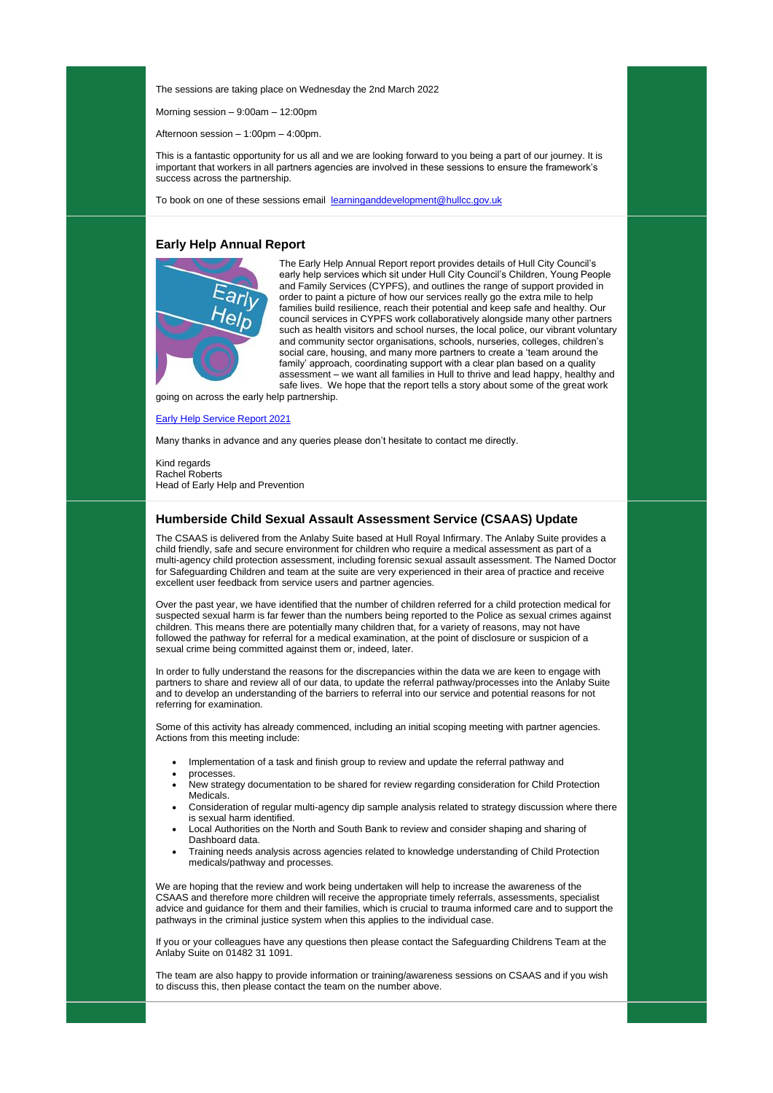The sessions are taking place on Wednesday the 2nd March 2022

Morning session  $-9:00$ am  $-12:00$ pm

Afternoon session – 1:00pm – 4:00pm.

This is a fantastic opportunity for us all and we are looking forward to you being a part of our journey. It is important that workers in all partners agencies are involved in these sessions to ensure the framework's success across the partnership.

To book on one of these sessions email [learninganddevelopment@hullcc.gov.uk](mailto:learninganddevelopment@hullcc.gov.uk)

#### **Early Help Annual Report**



The Early Help Annual Report report provides details of Hull City Council's early help services which sit under Hull City Council's Children, Young People and Family Services (CYPFS), and outlines the range of support provided in order to paint a picture of how our services really go the extra mile to help families build resilience, reach their potential and keep safe and healthy. Our council services in CYPFS work collaboratively alongside many other partners such as health visitors and school nurses, the local police, our vibrant voluntary and community sector organisations, schools, nurseries, colleges, children's social care, housing, and many more partners to create a 'team around the family' approach, coordinating support with a clear plan based on a quality assessment – we want all families in Hull to thrive and lead happy, healthy and safe lives. We hope that the report tells a story about some of the great work

going on across the early help partnership.

#### [Early Help Service Report 2021](https://www.hullscp.co.uk/wp-content/uploads/2022/02/Early-Help-Service-Report-2021.pdf)

Many thanks in advance and any queries please don't hesitate to contact me directly.

Kind regards Rachel Roberts Head of Early Help and Prevention

#### **Humberside Child Sexual Assault Assessment Service (CSAAS) Update**

The CSAAS is delivered from the Anlaby Suite based at Hull Royal Infirmary. The Anlaby Suite provides a child friendly, safe and secure environment for children who require a medical assessment as part of a multi-agency child protection assessment, including forensic sexual assault assessment. The Named Doctor for Safeguarding Children and team at the suite are very experienced in their area of practice and receive excellent user feedback from service users and partner agencies.

Over the past year, we have identified that the number of children referred for a child protection medical for suspected sexual harm is far fewer than the numbers being reported to the Police as sexual crimes against children. This means there are potentially many children that, for a variety of reasons, may not have followed the pathway for referral for a medical examination, at the point of disclosure or suspicion of a sexual crime being committed against them or, indeed, later.

In order to fully understand the reasons for the discrepancies within the data we are keen to engage with partners to share and review all of our data, to update the referral pathway/processes into the Anlaby Suite and to develop an understanding of the barriers to referral into our service and potential reasons for not referring for examination.

Some of this activity has already commenced, including an initial scoping meeting with partner agencies. Actions from this meeting include:

- Implementation of a task and finish group to review and update the referral pathway and
- processes.
- New strategy documentation to be shared for review regarding consideration for Child Protection Medicals.
- Consideration of regular multi-agency dip sample analysis related to strategy discussion where there is sexual harm identified.
	-
- Local Authorities on the North and South Bank to review and consider shaping and sharing of Dashboard data.
- Training needs analysis across agencies related to knowledge understanding of Child Protection medicals/pathway and processes.

We are hoping that the review and work being undertaken will help to increase the awareness of the CSAAS and therefore more children will receive the appropriate timely referrals, assessments, specialist advice and guidance for them and their families, which is crucial to trauma informed care and to support the pathways in the criminal justice system when this applies to the individual case.

If you or your colleagues have any questions then please contact the Safeguarding Childrens Team at the Anlaby Suite on 01482 31 1091.

The team are also happy to provide information or training/awareness sessions on CSAAS and if you wish to discuss this, then please contact the team on the number above.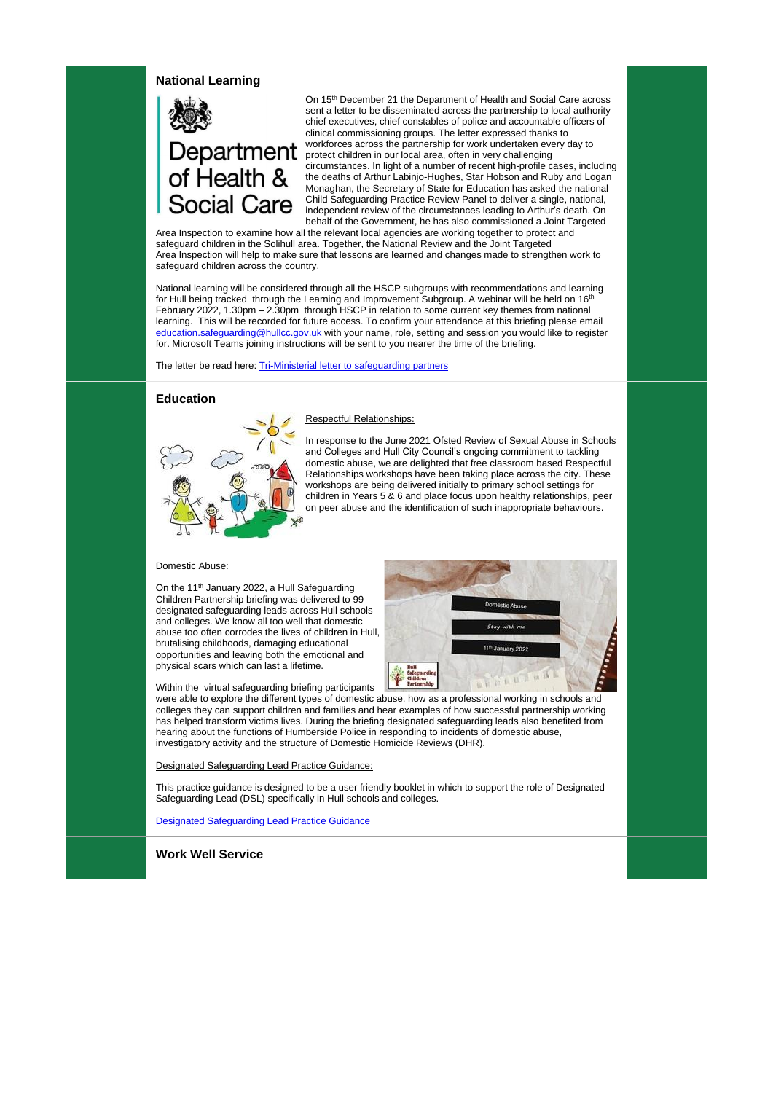#### **National Learning**



# Department of Health & **Social Care**

On 15<sup>th</sup> December 21 the Department of Health and Social Care across sent a letter to be disseminated across the partnership to local authority chief executives, chief constables of police and accountable officers of clinical commissioning groups. The letter expressed thanks to workforces across the partnership for work undertaken every day to protect children in our local area, often in very challenging circumstances. In light of a number of recent high-profile cases, including the deaths of Arthur Labinjo-Hughes, Star Hobson and Ruby and Logan Monaghan, the Secretary of State for Education has asked the national Child Safeguarding Practice Review Panel to deliver a single, national, independent review of the circumstances leading to Arthur's death. On behalf of the Government, he has also commissioned a Joint Targeted

Area Inspection to examine how all the relevant local agencies are working together to protect and safeguard children in the Solihull area. Together, the National Review and the Joint Targeted Area Inspection will help to make sure that lessons are learned and changes made to strengthen work to safeguard children across the country.

On the 11<sup>th</sup> January 2022, a Hull Safeguarding Children Partnership briefing was delivered to 99 designated safeguarding leads across Hull schools and colleges. We know all too well that domestic abuse too often corrodes the lives of children in Hull, brutalising childhoods, damaging educational opportunities and leaving both the emotional and physical scars which can last a lifetime.

National learning will be considered through all the HSCP subgroups with recommendations and learning for Hull being tracked through the Learning and Improvement Subgroup. A webinar will be held on 16<sup>th</sup> February 2022, 1.30pm – 2.30pm through HSCP in relation to some current key themes from national learning. This will be recorded for future access. To confirm your attendance at this briefing please email [education.safeguarding@hullcc.gov.uk](mailto:education.safeguarding@hullcc.gov.uk) with your name, role, setting and session you would like to register for. Microsoft Teams joining instructions will be sent to you nearer the time of the briefing.

The letter be read here: [Tri-Ministerial letter to safeguarding partners](https://www.hullscp.co.uk/wp-content/uploads/2022/02/Tri-Ministerial-letter-to-safeguarding-partners.pdf)

## **Education**



#### Respectful Relationships:

In response to the June 2021 Ofsted Review of Sexual Abuse in Schools and Colleges and Hull City Council's ongoing commitment to tackling domestic abuse, we are delighted that free classroom based Respectful Relationships workshops have been taking place across the city. These workshops are being delivered initially to primary school settings for children in Years 5 & 6 and place focus upon healthy relationships, peer on peer abuse and the identification of such inappropriate behaviours.

#### Domestic Abuse:

Within the virtual safeguarding briefing participants



were able to explore the different types of domestic abuse, how as a professional working in schools and colleges they can support children and families and hear examples of how successful partnership working has helped transform victims lives. During the briefing designated safeguarding leads also benefited from hearing about the functions of Humberside Police in responding to incidents of domestic abuse, investigatory activity and the structure of Domestic Homicide Reviews (DHR).

#### Designated Safeguarding Lead Practice Guidance:

This practice guidance is designed to be a user friendly booklet in which to support the role of Designated Safeguarding Lead (DSL) specifically in Hull schools and colleges.

#### [Designated Safeguarding Lead Practice Guidance](https://www.hullscp.co.uk/wp-content/uploads/2022/02/Designated-Safeguarding-Lead-Practice-Guidance-2021-2022.pdf)

**Work Well Service**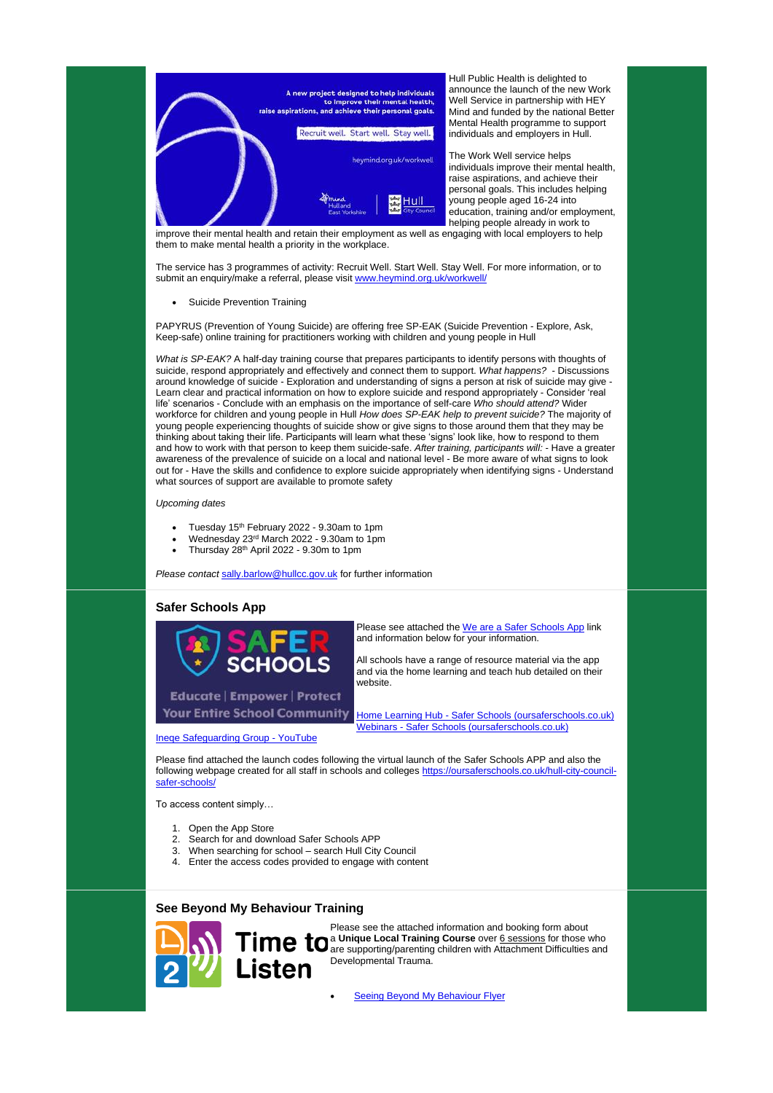

Hull Public Health is delighted to announce the launch of the new Work Well Service in partnership with HEY Mind and funded by the national Better Mental Health programme to support individuals and employers in Hull.

The Work Well service helps individuals improve their mental health, raise aspirations, and achieve their personal goals. This includes helping young people aged 16-24 into education, training and/or employment, helping people already in work to

improve their mental health and retain their employment as well as engaging with local employers to help them to make mental health a priority in the workplace.

The service has 3 programmes of activity: Recruit Well. Start Well. Stay Well. For more information, or to submit an enquiry/make a referral, please visit [www.heymind.org.uk/workwell/](http://www.heymind.org.uk/workwell/)

• Suicide Prevention Training

PAPYRUS (Prevention of Young Suicide) are offering free SP-EAK (Suicide Prevention - Explore, Ask, Keep-safe) online training for practitioners working with children and young people in Hull

> Please see attached the [We are a Safer Schools App](https://www.hullscp.co.uk/wp-content/uploads/2022/02/We-are-a-Safer-Schools-App-User-003.pdf) link and information below for your information.

*What is SP-EAK?* A half-day training course that prepares participants to identify persons with thoughts of suicide, respond appropriately and effectively and connect them to support. *What happens?* - Discussions around knowledge of suicide - Exploration and understanding of signs a person at risk of suicide may give - Learn clear and practical information on how to explore suicide and respond appropriately - Consider 'real life' scenarios - Conclude with an emphasis on the importance of self-care *Who should attend?* Wider workforce for children and young people in Hull *How does SP-EAK help to prevent suicide?* The majority of young people experiencing thoughts of suicide show or give signs to those around them that they may be thinking about taking their life. Participants will learn what these 'signs' look like, how to respond to them and how to work with that person to keep them suicide-safe. *After training, participants will:* - Have a greater awareness of the prevalence of suicide on a local and national level - Be more aware of what signs to look out for - Have the skills and confidence to explore suicide appropriately when identifying signs - Understand what sources of support are available to promote safety

#### *Upcoming dates*

- Tuesday  $15<sup>th</sup>$  February 2022 9.30am to 1pm
- Wednesday 23rd March 2022 9.30am to 1pm
- Thursday  $28<sup>th</sup>$  April 2022 9.30m to 1pm

*Please contact* [sally.barlow@hullcc.gov.uk](mailto:sally.barlow@hullcc.gov.uk) for further information

## **Safer Schools App**



**Educate | Empower | Protect Your Entire School Community** 

All schools have a range of resource material via the app and via the home learning and teach hub detailed on their website.

Home Learning Hub - [Safer Schools \(oursaferschools.co.uk\)](https://oursaferschools.co.uk/home-learning-hub/#primary) Webinars - [Safer Schools \(oursaferschools.co.uk\)](https://oursaferschools.co.uk/webinars/)

[Ineqe Safeguarding Group -](https://www.youtube.com/c/Ineqe) YouTube

Please find attached the launch codes following the virtual launch of the Safer Schools APP and also the following webpage created for all staff in schools and colleges [https://oursaferschools.co.uk/hull-city-council](https://oursaferschools.co.uk/hull-city-council-safer-schools/)[safer-schools/](https://oursaferschools.co.uk/hull-city-council-safer-schools/)

To access content simply…

- 1. Open the App Store
- 2. Search for and download Safer Schools APP
- 3. When searching for school search Hull City Council
- 4. Enter the access codes provided to engage with content

## **See Beyond My Behaviour Training**



Please see the attached information and booking form about a **Unique Local Training Course** over 6 sessions for those who are supporting/parenting children with Attachment Difficulties and Developmental Trauma.

[Seeing Beyond My Behaviour Flyer](https://www.hullscp.co.uk/wp-content/uploads/2022/02/SEEING-BEYOND-MY-BEHAVIOUR-FLYER.docx)